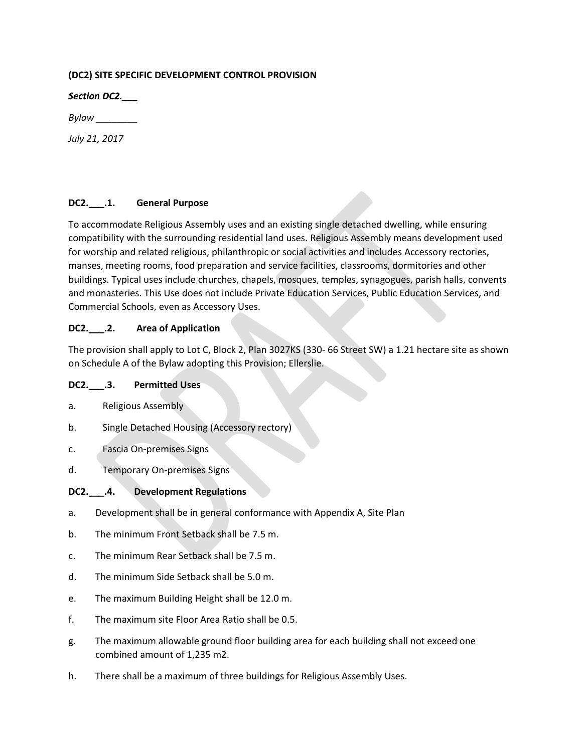## **(DC2) SITE SPECIFIC DEVELOPMENT CONTROL PROVISION**

*Section DC2.\_\_\_*

*Bylaw \_\_\_\_\_\_\_\_*

*July 21, 2017*

## **DC2.\_\_\_.1. General Purpose**

To accommodate Religious Assembly uses and an existing single detached dwelling, while ensuring compatibility with the surrounding residential land uses. Religious Assembly means development used for worship and related religious, philanthropic or social activities and includes Accessory rectories, manses, meeting rooms, food preparation and service facilities, classrooms, dormitories and other buildings. Typical uses include churches, chapels, mosques, temples, synagogues, parish halls, convents and monasteries. This Use does not include Private Education Services, Public Education Services, and Commercial Schools, even as Accessory Uses.

## **DC2.\_\_\_.2. Area of Application**

The provision shall apply to Lot C, Block 2, Plan 3027KS (330- 66 Street SW) a 1.21 hectare site as shown on Schedule A of the Bylaw adopting this Provision; Ellerslie.

#### **DC2.\_\_\_.3. Permitted Uses**

- a. Religious Assembly
- b. Single Detached Housing (Accessory rectory)
- c. Fascia On-premises Signs
- d. Temporary On-premises Signs

# **DC2.\_\_\_.4. Development Regulations**

- a. Development shall be in general conformance with Appendix A, Site Plan
- b. The minimum Front Setback shall be 7.5 m.
- c. The minimum Rear Setback shall be 7.5 m.
- d. The minimum Side Setback shall be 5.0 m.
- e. The maximum Building Height shall be 12.0 m.
- f. The maximum site Floor Area Ratio shall be 0.5.
- g. The maximum allowable ground floor building area for each building shall not exceed one combined amount of 1,235 m2.
- h. There shall be a maximum of three buildings for Religious Assembly Uses.